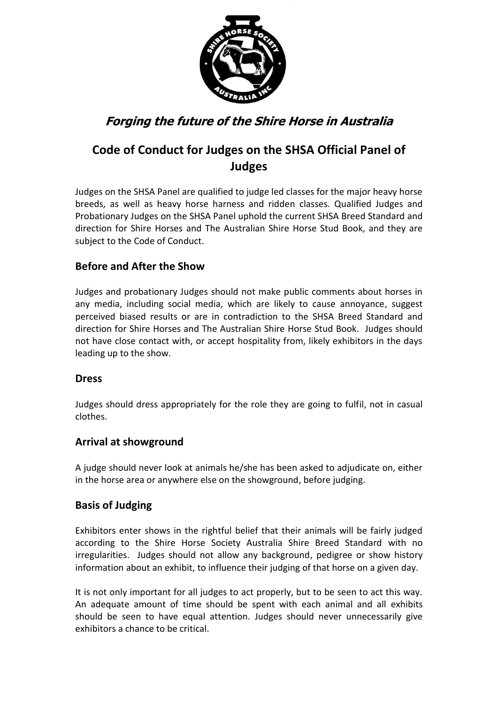

# **Forging the future of the Shire Horse in Australia**

## **Code of Conduct for Judges on the SHSA Official Panel of Judges**

Judges on the SHSA Panel are qualified to judge led classes for the major heavy horse breeds, as well as heavy horse harness and ridden classes. Qualified Judges and Probationary Judges on the SHSA Panel uphold the current SHSA Breed Standard and direction for Shire Horses and The Australian Shire Horse Stud Book, and they are subject to the Code of Conduct.

### **Before and After the Show**

Judges and probationary Judges should not make public comments about horses in any media, including social media, which are likely to cause annoyance, suggest perceived biased results or are in contradiction to the SHSA Breed Standard and direction for Shire Horses and The Australian Shire Horse Stud Book. Judges should not have close contact with, or accept hospitality from, likely exhibitors in the days leading up to the show.

### **Dress**

Judges should dress appropriately for the role they are going to fulfil, not in casual clothes.

### **Arrival at showground**

A judge should never look at animals he/she has been asked to adjudicate on, either in the horse area or anywhere else on the showground, before judging.

### **Basis of Judging**

Exhibitors enter shows in the rightful belief that their animals will be fairly judged according to the Shire Horse Society Australia Shire Breed Standard with no irregularities. Judges should not allow any background, pedigree or show history information about an exhibit, to influence their judging of that horse on a given day.

It is not only important for all judges to act properly, but to be seen to act this way. An adequate amount of time should be spent with each animal and all exhibits should be seen to have equal attention. Judges should never unnecessarily give exhibitors a chance to be critical.